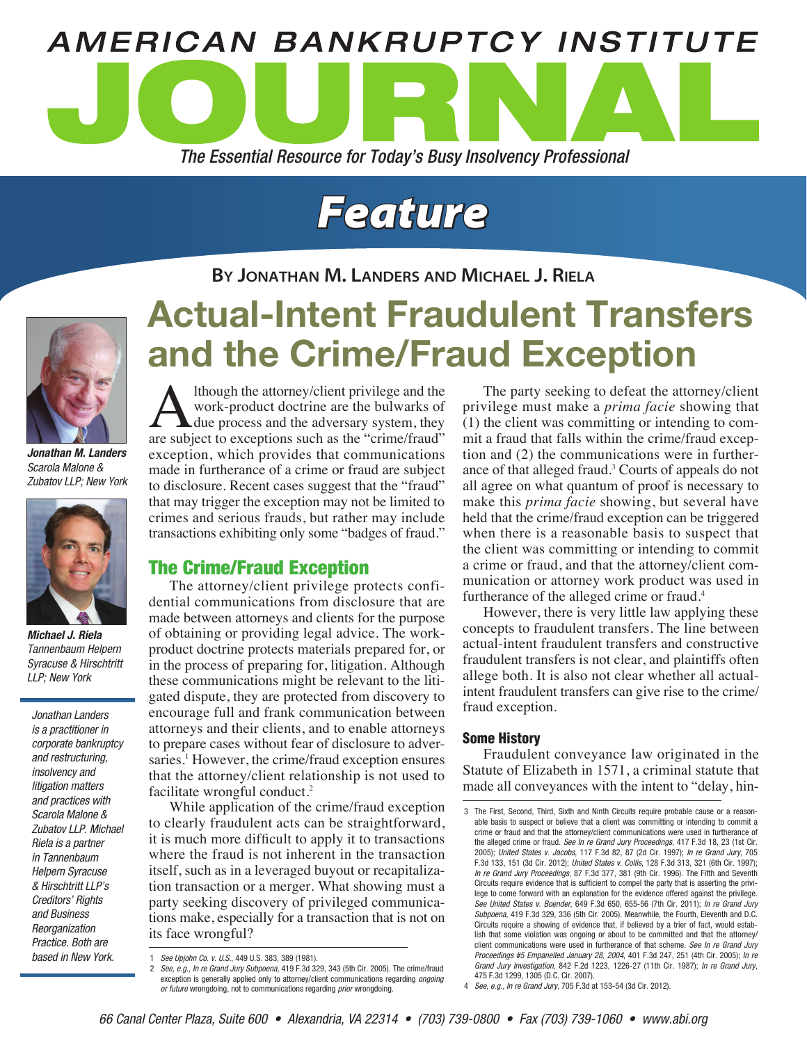

# *Feature*

# **By Jonathan M. Landers and Michael J. Riela**



*Jonathan M. Landers Scarola Malone & Zubatov LLP; New York*



*Michael J. Riela Tannenbaum Helpern Syracuse & Hirschtritt LLP; New York*

*Jonathan Landers is a practitioner in corporate bankruptcy and restructuring, insolvency and litigation matters and practices with Scarola Malone & Zubatov LLP. Michael Riela is a partner in Tannenbaum Helpern Syracuse & Hirschtritt LLP's Creditors' Rights and Business Reorganization Practice. Both are based in New York.*

# Actual-Intent Fraudulent Transfers and the Crime/Fraud Exception

Although the attorney/client privilege and the<br>work-product doctrine are the bulwarks of<br>due process and the adversary system, they<br>are subject to exceptions such as the "crime/fraud" work-product doctrine are the bulwarks of due process and the adversary system, they are subject to exceptions such as the "crime/fraud" exception, which provides that communications made in furtherance of a crime or fraud are subject to disclosure. Recent cases suggest that the "fraud" that may trigger the exception may not be limited to crimes and serious frauds, but rather may include transactions exhibiting only some "badges of fraud."

# The Crime/Fraud Exception

The attorney/client privilege protects confidential communications from disclosure that are made between attorneys and clients for the purpose of obtaining or providing legal advice. The workproduct doctrine protects materials prepared for, or in the process of preparing for, litigation. Although these communications might be relevant to the litigated dispute, they are protected from discovery to encourage full and frank communication between attorneys and their clients, and to enable attorneys to prepare cases without fear of disclosure to adversaries.<sup>1</sup> However, the crime/fraud exception ensures that the attorney/client relationship is not used to facilitate wrongful conduct.2

While application of the crime/fraud exception to clearly fraudulent acts can be straightforward, it is much more difficult to apply it to transactions where the fraud is not inherent in the transaction itself, such as in a leveraged buyout or recapitalization transaction or a merger. What showing must a party seeking discovery of privileged communications make, especially for a transaction that is not on its face wrongful?

The party seeking to defeat the attorney/client privilege must make a *prima facie* showing that (1) the client was committing or intending to commit a fraud that falls within the crime/fraud exception and (2) the communications were in furtherance of that alleged fraud.<sup>3</sup> Courts of appeals do not all agree on what quantum of proof is necessary to make this *prima facie* showing, but several have held that the crime/fraud exception can be triggered when there is a reasonable basis to suspect that the client was committing or intending to commit a crime or fraud, and that the attorney/client communication or attorney work product was used in furtherance of the alleged crime or fraud.<sup>4</sup>

However, there is very little law applying these concepts to fraudulent transfers. The line between actual-intent fraudulent transfers and constructive fraudulent transfers is not clear, and plaintiffs often allege both. It is also not clear whether all actualintent fraudulent transfers can give rise to the crime/ fraud exception.

## Some History

Fraudulent conveyance law originated in the Statute of Elizabeth in 1571, a criminal statute that made all conveyances with the intent to "delay, hin-

<sup>1</sup> *See Upjohn Co. v. U.S.*, 449 U.S. 383, 389 (1981).

<sup>2</sup> *See, e.g., In re Grand Jury Subpoena*, 419 F.3d 329, 343 (5th Cir. 2005). The crime/fraud exception is generally applied only to attorney/client communications regarding *ongoing or future* wrongdoing, not to communications regarding *prior* wrongdoing.

<sup>3</sup> The First, Second, Third, Sixth and Ninth Circuits require probable cause or a reasonable basis to suspect or believe that a client was committing or intending to commit a crime or fraud and that the attorney/client communications were used in furtherance of the alleged crime or fraud. *See In re Grand Jury Proceedings*, 417 F.3d 18, 23 (1st Cir. 2005); *United States v. Jacobs*, 117 F.3d 82, 87 (2d Cir. 1997); *In re Grand Jury*, 705 F.3d 133, 151 (3d Cir. 2012); *United States v. Collis*, 128 F.3d 313, 321 (6th Cir. 1997); *In re Grand Jury Proceedings*, 87 F.3d 377, 381 (9th Cir. 1996). The Fifth and Seventh Circuits require evidence that is sufficient to compel the party that is asserting the privilege to come forward with an explanation for the evidence offered against the privilege. *See United States v. Boender*, 649 F.3d 650, 655-56 (7th Cir. 2011); *In re Grand Jury Subpoena*, 419 F.3d 329, 336 (5th Cir. 2005). Meanwhile, the Fourth, Eleventh and D.C. Circuits require a showing of evidence that, if believed by a trier of fact, would establish that some violation was ongoing or about to be committed and that the attorney/ client communications were used in furtherance of that scheme. *See In re Grand Jury Proceedings #5 Empanelled January 28, 2004*, 401 F.3d 247, 251 (4th Cir. 2005); *In re Grand Jury Investigation*, 842 F.2d 1223, 1226-27 (11th Cir. 1987); *In re Grand Jury*, 475 F.3d 1299, 1305 (D.C. Cir. 2007).

<sup>4</sup> *See, e.g., In re Grand Jury*, 705 F.3d at 153-54 (3d Cir. 2012).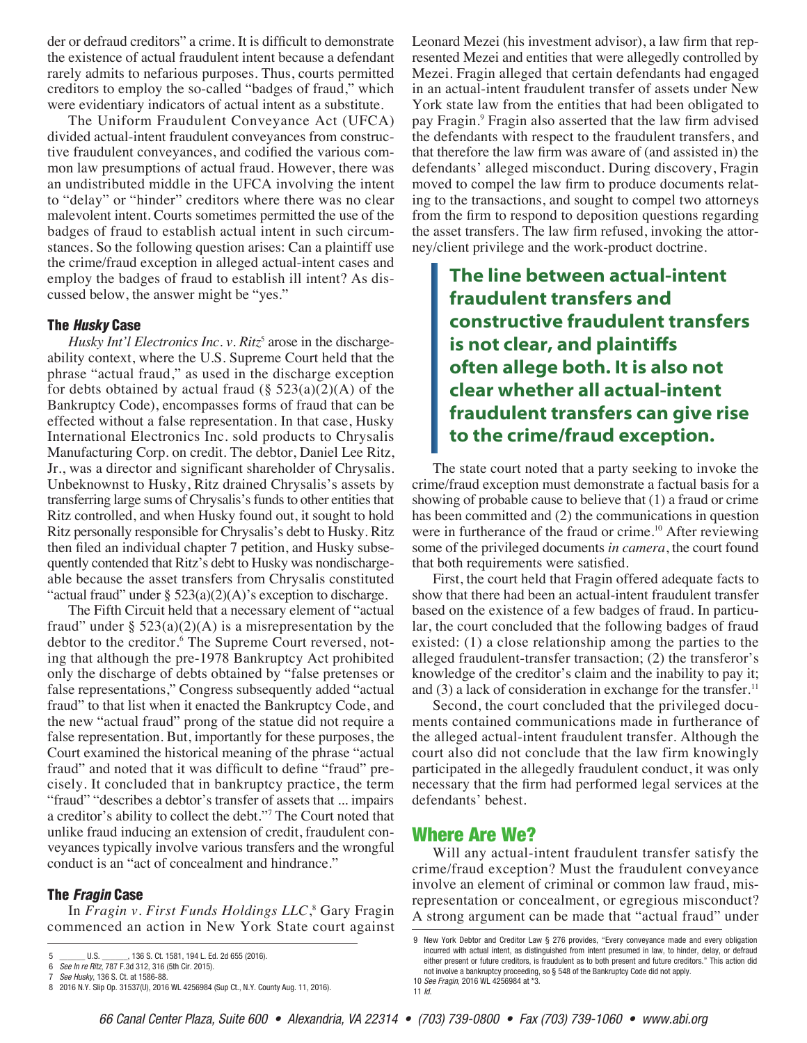der or defraud creditors" a crime. It is difficult to demonstrate the existence of actual fraudulent intent because a defendant rarely admits to nefarious purposes. Thus, courts permitted creditors to employ the so-called "badges of fraud," which were evidentiary indicators of actual intent as a substitute.

The Uniform Fraudulent Conveyance Act (UFCA) divided actual-intent fraudulent conveyances from constructive fraudulent conveyances, and codified the various common law presumptions of actual fraud. However, there was an undistributed middle in the UFCA involving the intent to "delay" or "hinder" creditors where there was no clear malevolent intent. Courts sometimes permitted the use of the badges of fraud to establish actual intent in such circumstances. So the following question arises: Can a plaintiff use the crime/fraud exception in alleged actual-intent cases and employ the badges of fraud to establish ill intent? As discussed below, the answer might be "yes."

#### The *Husky* Case

*Husky Int'l Electronics Inc. v. Ritz*<sup>5</sup> arose in the dischargeability context, where the U.S. Supreme Court held that the phrase "actual fraud," as used in the discharge exception for debts obtained by actual fraud  $(\S 523(a)(2)(A)$  of the Bankruptcy Code), encompasses forms of fraud that can be effected without a false representation. In that case, Husky International Electronics Inc. sold products to Chrysalis Manufacturing Corp. on credit. The debtor, Daniel Lee Ritz, Jr., was a director and significant shareholder of Chrysalis. Unbeknownst to Husky, Ritz drained Chrysalis's assets by transferring large sums of Chrysalis's funds to other entities that Ritz controlled, and when Husky found out, it sought to hold Ritz personally responsible for Chrysalis's debt to Husky. Ritz then filed an individual chapter 7 petition, and Husky subsequently contended that Ritz's debt to Husky was nondischargeable because the asset transfers from Chrysalis constituted "actual fraud" under  $\S$  523(a)(2)(A)'s exception to discharge.

The Fifth Circuit held that a necessary element of "actual fraud" under  $\S$  523(a)(2)(A) is a misrepresentation by the debtor to the creditor.<sup>6</sup> The Supreme Court reversed, noting that although the pre-1978 Bankruptcy Act prohibited only the discharge of debts obtained by "false pretenses or false representations," Congress subsequently added "actual fraud" to that list when it enacted the Bankruptcy Code, and the new "actual fraud" prong of the statue did not require a false representation. But, importantly for these purposes, the Court examined the historical meaning of the phrase "actual fraud" and noted that it was difficult to define "fraud" precisely. It concluded that in bankruptcy practice, the term "fraud" "describes a debtor's transfer of assets that ... impairs a creditor's ability to collect the debt."7 The Court noted that unlike fraud inducing an extension of credit, fraudulent conveyances typically involve various transfers and the wrongful conduct is an "act of concealment and hindrance."

#### The *Fragin* Case

In *Fragin v. First Funds Holdings LLC*, 8 Gary Fragin commenced an action in New York State court against

Leonard Mezei (his investment advisor), a law firm that represented Mezei and entities that were allegedly controlled by Mezei. Fragin alleged that certain defendants had engaged in an actual-intent fraudulent transfer of assets under New York state law from the entities that had been obligated to pay Fragin.<sup>9</sup> Fragin also asserted that the law firm advised the defendants with respect to the fraudulent transfers, and that therefore the law firm was aware of (and assisted in) the defendants' alleged misconduct. During discovery, Fragin moved to compel the law firm to produce documents relating to the transactions, and sought to compel two attorneys from the firm to respond to deposition questions regarding the asset transfers. The law firm refused, invoking the attorney/client privilege and the work-product doctrine.

**The line between actual-intent fraudulent transfers and constructive fraudulent transfers is not clear, and plaintiffs often allege both. It is also not clear whether all actual-intent fraudulent transfers can give rise to the crime/fraud exception.**

The state court noted that a party seeking to invoke the crime/fraud exception must demonstrate a factual basis for a showing of probable cause to believe that (1) a fraud or crime has been committed and (2) the communications in question were in furtherance of the fraud or crime.<sup>10</sup> After reviewing some of the privileged documents *in camera*, the court found that both requirements were satisfied.

First, the court held that Fragin offered adequate facts to show that there had been an actual-intent fraudulent transfer based on the existence of a few badges of fraud. In particular, the court concluded that the following badges of fraud existed: (1) a close relationship among the parties to the alleged fraudulent-transfer transaction; (2) the transferor's knowledge of the creditor's claim and the inability to pay it; and (3) a lack of consideration in exchange for the transfer.<sup>11</sup>

Second, the court concluded that the privileged documents contained communications made in furtherance of the alleged actual-intent fraudulent transfer. Although the court also did not conclude that the law firm knowingly participated in the allegedly fraudulent conduct, it was only necessary that the firm had performed legal services at the defendants' behest.

## Where Are We?

Will any actual-intent fraudulent transfer satisfy the crime/fraud exception? Must the fraudulent conveyance involve an element of criminal or common law fraud, misrepresentation or concealment, or egregious misconduct? A strong argument can be made that "actual fraud" under

<sup>5</sup> \_\_\_\_\_\_ U.S. \_\_\_\_\_\_, 136 S. Ct. 1581, 194 L. Ed. 2d 655 (2016).

<sup>6</sup> *See In re Ritz*, 787 F.3d 312, 316 (5th Cir. 2015).

<sup>7</sup> *See Husky*, 136 S. Ct. at 1586-88.

<sup>8</sup> 2016 N.Y. Slip Op. 31537(U), 2016 WL 4256984 (Sup Ct., N.Y. County Aug. 11, 2016).

<sup>9</sup> New York Debtor and Creditor Law § 276 provides, "Every conveyance made and every obligation incurred with actual intent, as distinguished from intent presumed in law, to hinder, delay, or defraud either present or future creditors, is fraudulent as to both present and future creditors." This action did not involve a bankruptcy proceeding, so § 548 of the Bankruptcy Code did not apply. 10 *See Fragin*, 2016 WL 4256984 at \*3.

<sup>11</sup> *Id*.